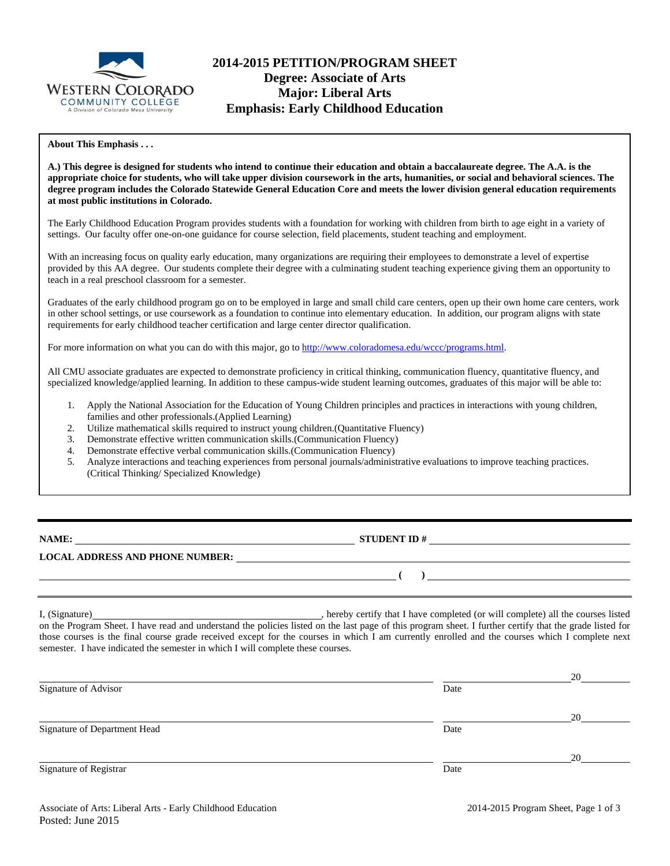

## **2014-2015 PETITION/PROGRAM SHEET Degree: Associate of Arts Major: Liberal Arts Emphasis: Early Childhood Education**

#### **About This Emphasis . . .**

**A.) This degree is designed for students who intend to continue their education and obtain a baccalaureate degree. The A.A. is the appropriate choice for students, who will take upper division coursework in the arts, humanities, or social and behavioral sciences. The degree program includes the Colorado Statewide General Education Core and meets the lower division general education requirements at most public institutions in Colorado.** 

The Early Childhood Education Program provides students with a foundation for working with children from birth to age eight in a variety of settings. Our faculty offer one-on-one guidance for course selection, field placements, student teaching and employment.

With an increasing focus on quality early education, many organizations are requiring their employees to demonstrate a level of expertise provided by this AA degree. Our students complete their degree with a culminating student teaching experience giving them an opportunity to teach in a real preschool classroom for a semester.

Graduates of the early childhood program go on to be employed in large and small child care centers, open up their own home care centers, work in other school settings, or use coursework as a foundation to continue into elementary education. In addition, our program aligns with state requirements for early childhood teacher certification and large center director qualification.

For more information on what you can do with this major, go to http://www.coloradomesa.edu/wccc/programs.html.

All CMU associate graduates are expected to demonstrate proficiency in critical thinking, communication fluency, quantitative fluency, and specialized knowledge/applied learning. In addition to these campus-wide student learning outcomes, graduates of this major will be able to:

- 1. Apply the National Association for the Education of Young Children principles and practices in interactions with young children, families and other professionals.(Applied Learning)
- 2. Utilize mathematical skills required to instruct young children.(Quantitative Fluency)
- 3. Demonstrate effective written communication skills.(Communication Fluency)
- 4. Demonstrate effective verbal communication skills.(Communication Fluency)
- 5. Analyze interactions and teaching experiences from personal journals/administrative evaluations to improve teaching practices. (Critical Thinking/ Specialized Knowledge)

| <b>NAME:</b> |  |  |
|--------------|--|--|
|              |  |  |

**NAMES IN STUDENT ID #** 

### **LOCAL ADDRESS AND PHONE NUMBER:**

I, (Signature) , hereby certify that I have completed (or will complete) all the courses listed on the Program Sheet. I have read and understand the policies listed on the last page of this program sheet. I further certify that the grade listed for those courses is the final course grade received except for the courses in which I am currently enrolled and the courses which I complete next semester. I have indicated the semester in which I will complete these courses.

|                              |      | 20 |
|------------------------------|------|----|
| Signature of Advisor         | Date |    |
|                              |      | 20 |
| Signature of Department Head | Date |    |
|                              |      | 20 |
| Signature of Registrar       | Date |    |
|                              |      |    |

 **( )**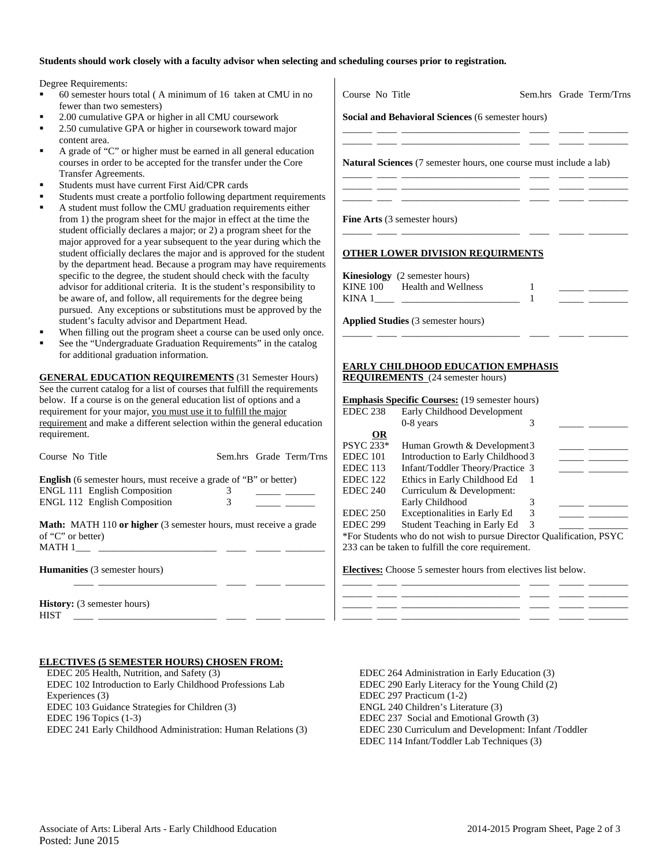#### **Students should work closely with a faculty advisor when selecting and scheduling courses prior to registration.**

Degree Requirements:

- 60 semester hours total ( A minimum of 16 taken at CMU in no fewer than two semesters)
- 2.00 cumulative GPA or higher in all CMU coursework
- 2.50 cumulative GPA or higher in coursework toward major content area.
- A grade of "C" or higher must be earned in all general education courses in order to be accepted for the transfer under the Core Transfer Agreements.
- Students must have current First Aid/CPR cards
- Students must create a portfolio following department requirement
- A student must follow the CMU graduation requirements either from 1) the program sheet for the major in effect at the time the student officially declares a major; or 2) a program sheet for the major approved for a year subsequent to the year during which the student officially declares the major and is approved for the studen by the department head. Because a program may have requirement specific to the degree, the student should check with the faculty advisor for additional criteria. It is the student's responsibility to be aware of, and follow, all requirements for the degree being pursued. Any exceptions or substitutions must be approved by the student's faculty advisor and Department Head.
- When filling out the program sheet a course can be used only once.
- See the "Undergraduate Graduation Requirements" in the catalog for additional graduation information.

**GENERAL EDUCATION REQUIREMENTS** (31 Semester Hours) See the current catalog for a list of courses that fulfill the requirements below. If a course is on the general education list of options and a requirement for your major, you must use it to fulfill the major requirement and make a different selection within the general education requirement.

| Course No Title                                                                                               |   | Sem.hrs Grade Term/Trns |
|---------------------------------------------------------------------------------------------------------------|---|-------------------------|
| <b>English</b> (6 semester hours, must receive a grade of "B" or better)                                      |   |                         |
| <b>ENGL 111 English Composition</b>                                                                           |   |                         |
| <b>ENGL 112 English Composition</b>                                                                           | 3 |                         |
| <b>Math:</b> MATH 110 <b>or higher</b> (3 semester hours, must receive a grade<br>of "C" or better)<br>MATH 1 |   |                         |
| <b>Humanities</b> (3 semester hours)                                                                          |   |                         |
| <b>History:</b> (3 semester hours)<br><b>HIST</b>                                                             |   |                         |

#### **ELECTIVES (5 SEMESTER HOURS) CHOSEN FROM:**

 EDEC 205 Health, Nutrition, and Safety (3) EDEC 102 Introduction to Early Childhood Professions Lab Experiences (3) EDEC 103 Guidance Strategies for Children (3) EDEC 196 Topics (1-3) EDEC 241 Early Childhood Administration: Human Relations (3)

| Course No Title  |                                                                                               |                     | Sem.hrs Grade Term/Trns           |
|------------------|-----------------------------------------------------------------------------------------------|---------------------|-----------------------------------|
|                  | Social and Behavioral Sciences (6 semester hours)                                             |                     |                                   |
|                  | Natural Sciences (7 semester hours, one course must include a lab)                            |                     |                                   |
|                  | <b>Fine Arts</b> (3 semester hours)                                                           |                     |                                   |
|                  | <b>OTHER LOWER DIVISION REQUIRMENTS</b>                                                       |                     |                                   |
|                  | Kinesiology (2 semester hours)<br>KINE 100 Health and Wellness                                | 1<br>$\overline{1}$ |                                   |
|                  | <b>Applied Studies</b> (3 semester hours)<br><u> 1989 - John Harrison, mars eta inperiodo</u> |                     |                                   |
|                  | <b>EARLY CHILDHOOD EDUCATION EMPHASIS</b>                                                     |                     |                                   |
|                  | <b>REQUIREMENTS</b> (24 semester hours)                                                       |                     |                                   |
| <b>EDEC 238</b>  | <b>Emphasis Specific Courses:</b> (19 semester hours)<br>Early Childhood Development          |                     |                                   |
|                  | 0-8 years                                                                                     | 3                   |                                   |
| OR               |                                                                                               |                     |                                   |
| <b>PSYC 233*</b> | Human Growth & Development3                                                                   |                     |                                   |
| EDEC 101         | Introduction to Early Childhood 3                                                             |                     |                                   |
| <b>EDEC 113</b>  | Infant/Toddler Theory/Practice 3                                                              |                     | <u> Albanya (Albanya Albanya)</u> |
| <b>EDEC</b> 122  | Ethics in Early Childhood Ed                                                                  | 1                   |                                   |
| <b>EDEC 240</b>  | Curriculum & Development:                                                                     |                     |                                   |
|                  | Early Childhood                                                                               | 3                   |                                   |
| <b>EDEC 250</b>  | Exceptionalities in Early Ed                                                                  | 3                   |                                   |
| <b>EDEC 299</b>  | Student Teaching in Early Ed                                                                  | 3                   |                                   |

**Electives:** Choose 5 semester hours from electives list below.

233 can be taken to fulfill the core requirement.

| _______ |  |  |  |
|---------|--|--|--|
|         |  |  |  |
|         |  |  |  |
| _______ |  |  |  |

\*For Students who do not wish to pursue Director Qualification, PSYC

 EDEC 264 Administration in Early Education (3) EDEC 290 Early Literacy for the Young Child (2) EDEC 297 Practicum (1-2) ENGL 240 Children's Literature (3) EDEC 237 Social and Emotional Growth (3) EDEC 230 Curriculum and Development: Infant /Toddler EDEC 114 Infant/Toddler Lab Techniques (3)